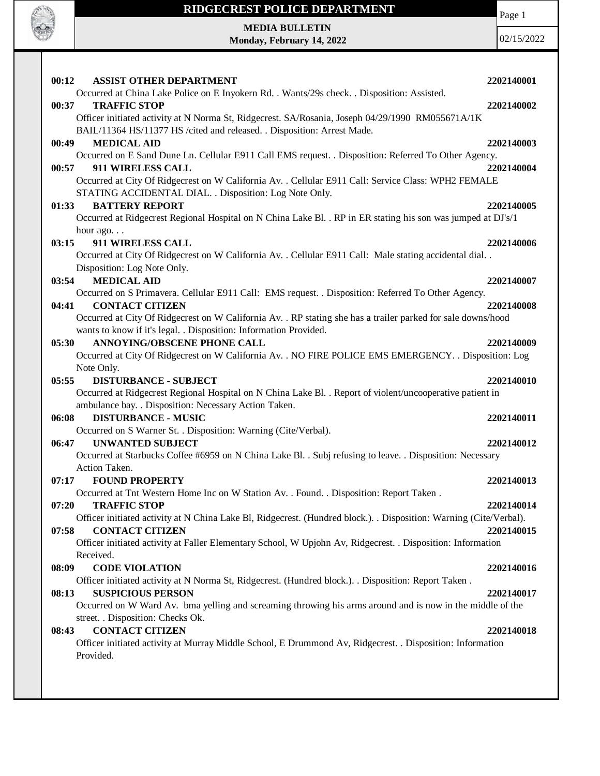

**MEDIA BULLETIN**

Page 1

**Monday, February 14, 2022**

| 00:12 | <b>ASSIST OTHER DEPARTMENT</b>                                                                                                      | 2202140001 |
|-------|-------------------------------------------------------------------------------------------------------------------------------------|------------|
|       | Occurred at China Lake Police on E Inyokern Rd. . Wants/29s check. . Disposition: Assisted.                                         |            |
| 00:37 | <b>TRAFFIC STOP</b>                                                                                                                 | 2202140002 |
|       | Officer initiated activity at N Norma St, Ridgecrest. SA/Rosania, Joseph 04/29/1990 RM055671A/1K                                    |            |
|       | BAIL/11364 HS/11377 HS /cited and released. . Disposition: Arrest Made.                                                             |            |
| 00:49 | <b>MEDICAL AID</b>                                                                                                                  | 2202140003 |
| 00:57 | Occurred on E Sand Dune Ln. Cellular E911 Call EMS request. . Disposition: Referred To Other Agency.<br>911 WIRELESS CALL           | 2202140004 |
|       | Occurred at City Of Ridgecrest on W California Av. . Cellular E911 Call: Service Class: WPH2 FEMALE                                 |            |
|       | STATING ACCIDENTAL DIAL. . Disposition: Log Note Only.                                                                              |            |
| 01:33 | <b>BATTERY REPORT</b>                                                                                                               | 2202140005 |
|       | Occurred at Ridgecrest Regional Hospital on N China Lake Bl. . RP in ER stating his son was jumped at DJ's/1                        |            |
|       | hour ago. $\ldots$                                                                                                                  |            |
| 03:15 | 911 WIRELESS CALL                                                                                                                   | 2202140006 |
|       | Occurred at City Of Ridgecrest on W California Av. . Cellular E911 Call: Male stating accidental dial. .                            |            |
|       | Disposition: Log Note Only.                                                                                                         |            |
| 03:54 | <b>MEDICAL AID</b><br>Occurred on S Primavera. Cellular E911 Call: EMS request. . Disposition: Referred To Other Agency.            | 2202140007 |
| 04:41 | <b>CONTACT CITIZEN</b>                                                                                                              | 2202140008 |
|       | Occurred at City Of Ridgecrest on W California Av. . RP stating she has a trailer parked for sale downs/hood                        |            |
|       | wants to know if it's legal. . Disposition: Information Provided.                                                                   |            |
| 05:30 | <b>ANNOYING/OBSCENE PHONE CALL</b>                                                                                                  | 2202140009 |
|       | Occurred at City Of Ridgecrest on W California Av. . NO FIRE POLICE EMS EMERGENCY. . Disposition: Log                               |            |
|       | Note Only.                                                                                                                          |            |
|       |                                                                                                                                     |            |
| 05:55 | <b>DISTURBANCE - SUBJECT</b>                                                                                                        | 2202140010 |
|       | Occurred at Ridgecrest Regional Hospital on N China Lake Bl. . Report of violent/uncooperative patient in                           |            |
|       | ambulance bay. . Disposition: Necessary Action Taken.                                                                               |            |
| 06:08 | <b>DISTURBANCE - MUSIC</b>                                                                                                          | 2202140011 |
|       | Occurred on S Warner St. . Disposition: Warning (Cite/Verbal).                                                                      |            |
| 06:47 | <b>UNWANTED SUBJECT</b>                                                                                                             | 2202140012 |
|       | Occurred at Starbucks Coffee #6959 on N China Lake Bl. . Subj refusing to leave. . Disposition: Necessary                           |            |
|       | Action Taken.                                                                                                                       |            |
| 07:17 | <b>FOUND PROPERTY</b><br>Occurred at Tnt Western Home Inc on W Station Av. . Found. . Disposition: Report Taken.                    | 2202140013 |
| 07:20 | <b>TRAFFIC STOP</b>                                                                                                                 | 2202140014 |
|       | Officer initiated activity at N China Lake Bl, Ridgecrest. (Hundred block.). Disposition: Warning (Cite/Verbal).                    |            |
| 07:58 | <b>CONTACT CITIZEN</b>                                                                                                              | 2202140015 |
|       | Officer initiated activity at Faller Elementary School, W Upjohn Av, Ridgecrest. . Disposition: Information                         |            |
|       | Received.                                                                                                                           |            |
| 08:09 | <b>CODE VIOLATION</b>                                                                                                               | 2202140016 |
|       | Officer initiated activity at N Norma St, Ridgecrest. (Hundred block.). . Disposition: Report Taken.                                |            |
| 08:13 | <b>SUSPICIOUS PERSON</b>                                                                                                            | 2202140017 |
|       | Occurred on W Ward Av. bma yelling and screaming throwing his arms around and is now in the middle of the                           |            |
|       | street. . Disposition: Checks Ok.                                                                                                   |            |
| 08:43 | <b>CONTACT CITIZEN</b><br>Officer initiated activity at Murray Middle School, E Drummond Av, Ridgecrest. . Disposition: Information | 2202140018 |
|       | Provided.                                                                                                                           |            |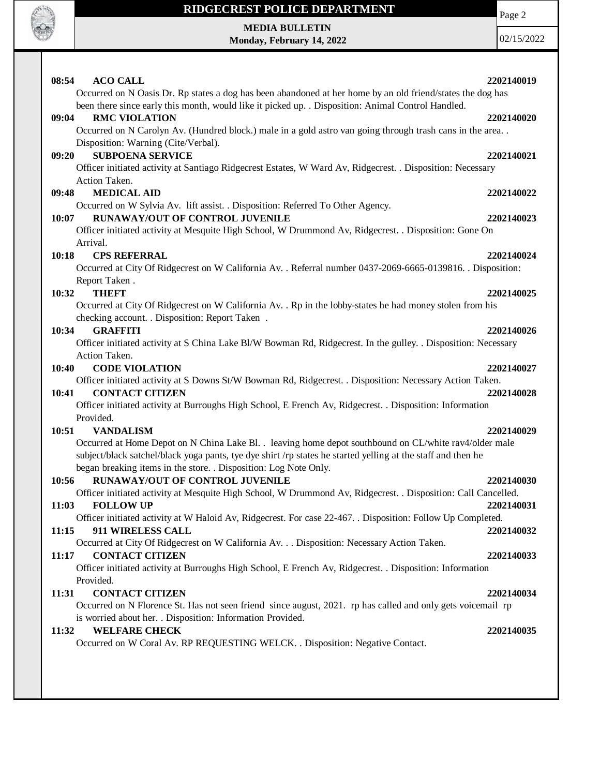

**MEDIA BULLETIN Monday, February 14, 2022**

02/15/2022

**08:54 ACO CALL 2202140019** Occurred on N Oasis Dr. Rp states a dog has been abandoned at her home by an old friend/states the dog has been there since early this month, would like it picked up. . Disposition: Animal Control Handled. **09:04 RMC VIOLATION 2202140020** Occurred on N Carolyn Av. (Hundred block.) male in a gold astro van going through trash cans in the area. . Disposition: Warning (Cite/Verbal). **09:20 SUBPOENA SERVICE 2202140021** Officer initiated activity at Santiago Ridgecrest Estates, W Ward Av, Ridgecrest. . Disposition: Necessary Action Taken. **09:48 MEDICAL AID 2202140022** Occurred on W Sylvia Av. lift assist. . Disposition: Referred To Other Agency. **10:07 RUNAWAY/OUT OF CONTROL JUVENILE 2202140023** Officer initiated activity at Mesquite High School, W Drummond Av, Ridgecrest. . Disposition: Gone On Arrival. **10:18 CPS REFERRAL 2202140024** Occurred at City Of Ridgecrest on W California Av. . Referral number 0437-2069-6665-0139816. . Disposition: Report Taken . **10:32 THEFT 2202140025** Occurred at City Of Ridgecrest on W California Av. . Rp in the lobby-states he had money stolen from his checking account. . Disposition: Report Taken . **10:34 GRAFFITI 2202140026** Officer initiated activity at S China Lake Bl/W Bowman Rd, Ridgecrest. In the gulley. . Disposition: Necessary Action Taken. **10:40 CODE VIOLATION 2202140027** Officer initiated activity at S Downs St/W Bowman Rd, Ridgecrest. . Disposition: Necessary Action Taken. **10:41 CONTACT CITIZEN 2202140028** Officer initiated activity at Burroughs High School, E French Av, Ridgecrest. . Disposition: Information Provided. **10:51 VANDALISM 2202140029** Occurred at Home Depot on N China Lake Bl. . leaving home depot southbound on CL/white rav4/older male subject/black satchel/black yoga pants, tye dye shirt /rp states he started yelling at the staff and then he began breaking items in the store. . Disposition: Log Note Only. **10:56 RUNAWAY/OUT OF CONTROL JUVENILE 2202140030** Officer initiated activity at Mesquite High School, W Drummond Av, Ridgecrest. . Disposition: Call Cancelled. **11:03 FOLLOW UP 2202140031** Officer initiated activity at W Haloid Av, Ridgecrest. For case 22-467. . Disposition: Follow Up Completed. **11:15 911 WIRELESS CALL 2202140032** Occurred at City Of Ridgecrest on W California Av. . . Disposition: Necessary Action Taken. **11:17 CONTACT CITIZEN 2202140033** Officer initiated activity at Burroughs High School, E French Av, Ridgecrest. . Disposition: Information Provided. **11:31 CONTACT CITIZEN 2202140034** Occurred on N Florence St. Has not seen friend since august, 2021. rp has called and only gets voicemail rp is worried about her. . Disposition: Information Provided. **11:32 WELFARE CHECK 2202140035** Occurred on W Coral Av. RP REQUESTING WELCK. . Disposition: Negative Contact.

Page 2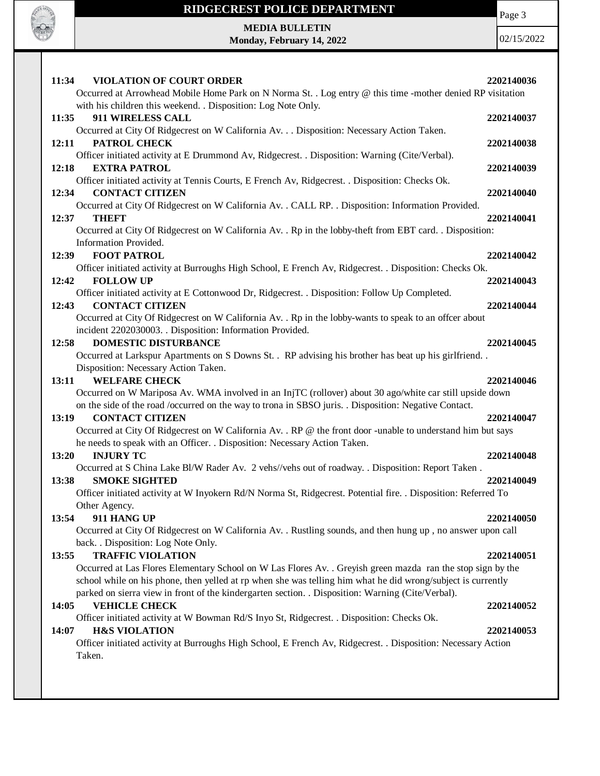

Page 3

**MEDIA BULLETIN Monday, February 14, 2022**

| 11:34<br><b>VIOLATION OF COURT ORDER</b><br>Occurred at Arrowhead Mobile Home Park on N Norma St. . Log entry @ this time -mother denied RP visitation                                                                                                                                                                                                                | 2202140036               |
|-----------------------------------------------------------------------------------------------------------------------------------------------------------------------------------------------------------------------------------------------------------------------------------------------------------------------------------------------------------------------|--------------------------|
| with his children this weekend. . Disposition: Log Note Only.<br>911 WIRELESS CALL<br>11:35                                                                                                                                                                                                                                                                           | 2202140037               |
| Occurred at City Of Ridgecrest on W California Av. Disposition: Necessary Action Taken.<br>PATROL CHECK<br>12:11<br>Officer initiated activity at E Drummond Av, Ridgecrest. . Disposition: Warning (Cite/Verbal).                                                                                                                                                    | 2202140038               |
| <b>EXTRA PATROL</b><br>12:18<br>Officer initiated activity at Tennis Courts, E French Av, Ridgecrest. . Disposition: Checks Ok.                                                                                                                                                                                                                                       | 2202140039               |
| <b>CONTACT CITIZEN</b><br>12:34<br>Occurred at City Of Ridgecrest on W California Av. . CALL RP. . Disposition: Information Provided.<br>12:37<br><b>THEFT</b>                                                                                                                                                                                                        | 2202140040<br>2202140041 |
| Occurred at City Of Ridgecrest on W California Av. . Rp in the lobby-theft from EBT card. . Disposition:<br>Information Provided.<br><b>FOOT PATROL</b><br>12:39                                                                                                                                                                                                      | 2202140042               |
| Officer initiated activity at Burroughs High School, E French Av, Ridgecrest. . Disposition: Checks Ok.<br><b>FOLLOW UP</b><br>12:42                                                                                                                                                                                                                                  | 2202140043               |
| Officer initiated activity at E Cottonwood Dr, Ridgecrest. . Disposition: Follow Up Completed.<br><b>CONTACT CITIZEN</b><br>12:43<br>Occurred at City Of Ridgecrest on W California Av. . Rp in the lobby-wants to speak to an offcer about<br>incident 2202030003. . Disposition: Information Provided.                                                              | 2202140044               |
| <b>DOMESTIC DISTURBANCE</b><br>12:58<br>Occurred at Larkspur Apartments on S Downs St. . RP advising his brother has beat up his girlfriend. .                                                                                                                                                                                                                        | 2202140045               |
| Disposition: Necessary Action Taken.<br><b>WELFARE CHECK</b><br>13:11<br>Occurred on W Mariposa Av. WMA involved in an InjTC (rollover) about 30 ago/white car still upside down<br>on the side of the road /occurred on the way to trona in SBSO juris. . Disposition: Negative Contact.                                                                             | 2202140046               |
| <b>CONTACT CITIZEN</b><br>13:19<br>Occurred at City Of Ridgecrest on W California Av. . RP @ the front door -unable to understand him but says<br>he needs to speak with an Officer. . Disposition: Necessary Action Taken.                                                                                                                                           | 2202140047               |
| 13:20<br><b>INJURY TC</b><br>Occurred at S China Lake Bl/W Rader Av. 2 vehs//vehs out of roadway. . Disposition: Report Taken.<br><b>SMOKE SIGHTED</b><br>13:38                                                                                                                                                                                                       | 2202140048<br>2202140049 |
| Officer initiated activity at W Inyokern Rd/N Norma St, Ridgecrest. Potential fire. . Disposition: Referred To<br>Other Agency.                                                                                                                                                                                                                                       |                          |
| 911 HANG UP<br>13:54<br>Occurred at City Of Ridgecrest on W California Av. . Rustling sounds, and then hung up, no answer upon call<br>back. . Disposition: Log Note Only.                                                                                                                                                                                            | 2202140050               |
| <b>TRAFFIC VIOLATION</b><br>13:55<br>Occurred at Las Flores Elementary School on W Las Flores Av. . Greyish green mazda ran the stop sign by the<br>school while on his phone, then yelled at rp when she was telling him what he did wrong/subject is currently<br>parked on sierra view in front of the kindergarten section. . Disposition: Warning (Cite/Verbal). | 2202140051               |
| <b>VEHICLE CHECK</b><br>14:05<br>Officer initiated activity at W Bowman Rd/S Inyo St, Ridgecrest. . Disposition: Checks Ok.                                                                                                                                                                                                                                           | 2202140052               |
| <b>H&amp;S VIOLATION</b><br>14:07<br>Officer initiated activity at Burroughs High School, E French Av, Ridgecrest. . Disposition: Necessary Action<br>Taken.                                                                                                                                                                                                          | 2202140053               |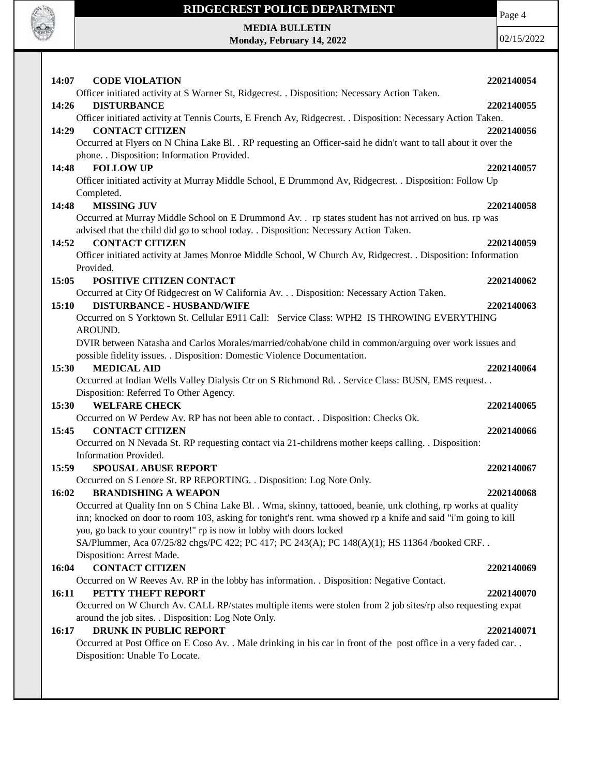

Page 4

**MEDIA BULLETIN Monday, February 14, 2022**

| 14:07<br><b>CODE VIOLATION</b>                                                                                   | 2202140054 |
|------------------------------------------------------------------------------------------------------------------|------------|
| Officer initiated activity at S Warner St, Ridgecrest. . Disposition: Necessary Action Taken.                    |            |
| <b>DISTURBANCE</b><br>14:26                                                                                      | 2202140055 |
| Officer initiated activity at Tennis Courts, E French Av, Ridgecrest. . Disposition: Necessary Action Taken.     |            |
| <b>CONTACT CITIZEN</b><br>14:29                                                                                  | 2202140056 |
| Occurred at Flyers on N China Lake Bl. . RP requesting an Officer-said he didn't want to tall about it over the  |            |
| phone. . Disposition: Information Provided.                                                                      |            |
| <b>FOLLOW UP</b><br>14:48                                                                                        | 2202140057 |
| Officer initiated activity at Murray Middle School, E Drummond Av, Ridgecrest. . Disposition: Follow Up          |            |
| Completed.                                                                                                       |            |
| <b>MISSING JUV</b><br>14:48                                                                                      | 2202140058 |
| Occurred at Murray Middle School on E Drummond Av. . rp states student has not arrived on bus. rp was            |            |
| advised that the child did go to school today. . Disposition: Necessary Action Taken.                            |            |
| <b>CONTACT CITIZEN</b><br>14:52                                                                                  | 2202140059 |
| Officer initiated activity at James Monroe Middle School, W Church Av, Ridgecrest. . Disposition: Information    |            |
| Provided.                                                                                                        |            |
| POSITIVE CITIZEN CONTACT<br>15:05                                                                                | 2202140062 |
| Occurred at City Of Ridgecrest on W California Av. Disposition: Necessary Action Taken.                          |            |
| 15:10<br><b>DISTURBANCE - HUSBAND/WIFE</b>                                                                       | 2202140063 |
| Occurred on S Yorktown St. Cellular E911 Call: Service Class: WPH2 IS THROWING EVERYTHING                        |            |
| AROUND.                                                                                                          |            |
| DVIR between Natasha and Carlos Morales/married/cohab/one child in common/arguing over work issues and           |            |
| possible fidelity issues. . Disposition: Domestic Violence Documentation.                                        |            |
| <b>MEDICAL AID</b><br>15:30                                                                                      | 2202140064 |
| Occurred at Indian Wells Valley Dialysis Ctr on S Richmond Rd. . Service Class: BUSN, EMS request. .             |            |
| Disposition: Referred To Other Agency.                                                                           |            |
| <b>WELFARE CHECK</b><br>15:30                                                                                    | 2202140065 |
| Occurred on W Perdew Av. RP has not been able to contact. . Disposition: Checks Ok.                              |            |
| <b>CONTACT CITIZEN</b><br>15:45                                                                                  | 2202140066 |
| Occurred on N Nevada St. RP requesting contact via 21-childrens mother keeps calling. . Disposition:             |            |
| Information Provided.                                                                                            |            |
| 15:59<br><b>SPOUSAL ABUSE REPORT</b>                                                                             | 2202140067 |
| Occurred on S Lenore St. RP REPORTING. . Disposition: Log Note Only.                                             |            |
| 16:02<br><b>BRANDISHING A WEAPON</b>                                                                             | 2202140068 |
| Occurred at Quality Inn on S China Lake Bl. . Wma, skinny, tattooed, beanie, unk clothing, rp works at quality   |            |
| inn; knocked on door to room 103, asking for tonight's rent. wma showed rp a knife and said "i'm going to kill   |            |
| you, go back to your country!" rp is now in lobby with doors locked                                              |            |
| SA/Plummer, Aca 07/25/82 chgs/PC 422; PC 417; PC 243(A); PC 148(A)(1); HS 11364 /booked CRF                      |            |
| Disposition: Arrest Made.                                                                                        |            |
| <b>CONTACT CITIZEN</b><br>16:04                                                                                  | 2202140069 |
| Occurred on W Reeves Av. RP in the lobby has information. . Disposition: Negative Contact.                       |            |
| 16:11<br>PETTY THEFT REPORT                                                                                      | 2202140070 |
| Occurred on W Church Av. CALL RP/states multiple items were stolen from 2 job sites/rp also requesting expat     |            |
| around the job sites. . Disposition: Log Note Only.<br><b>DRUNK IN PUBLIC REPORT</b><br>16:17                    | 2202140071 |
| Occurred at Post Office on E Coso Av. . Male drinking in his car in front of the post office in a very faded car |            |
| Disposition: Unable To Locate.                                                                                   |            |
|                                                                                                                  |            |
|                                                                                                                  |            |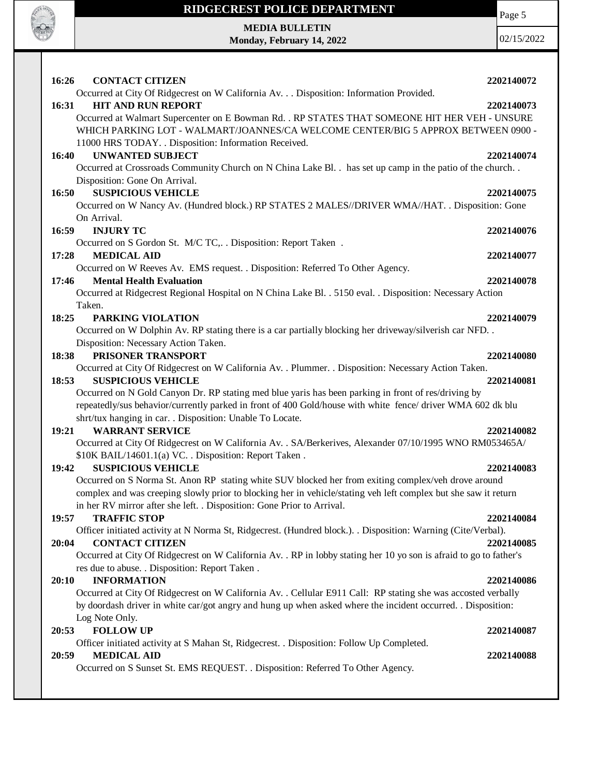

Page 5

**MEDIA BULLETIN Monday, February 14, 2022**

| 16:26<br><b>CONTACT CITIZEN</b>                                                                                    | 2202140072 |
|--------------------------------------------------------------------------------------------------------------------|------------|
| Occurred at City Of Ridgecrest on W California Av. Disposition: Information Provided.                              |            |
| 16:31<br><b>HIT AND RUN REPORT</b>                                                                                 | 2202140073 |
| Occurred at Walmart Supercenter on E Bowman Rd. . RP STATES THAT SOMEONE HIT HER VEH - UNSURE                      |            |
| WHICH PARKING LOT - WALMART/JOANNES/CA WELCOME CENTER/BIG 5 APPROX BETWEEN 0900 -                                  |            |
| 11000 HRS TODAY. . Disposition: Information Received.                                                              |            |
| <b>UNWANTED SUBJECT</b><br>16:40                                                                                   | 2202140074 |
| Occurred at Crossroads Community Church on N China Lake Bl. . has set up camp in the patio of the church. .        |            |
| Disposition: Gone On Arrival.                                                                                      |            |
| <b>SUSPICIOUS VEHICLE</b><br>16:50                                                                                 | 2202140075 |
| Occurred on W Nancy Av. (Hundred block.) RP STATES 2 MALES//DRIVER WMA//HAT. . Disposition: Gone                   |            |
| On Arrival.                                                                                                        |            |
| <b>INJURY TC</b><br>16:59                                                                                          | 2202140076 |
| Occurred on S Gordon St. M/C TC,. . Disposition: Report Taken .                                                    |            |
| 17:28<br><b>MEDICAL AID</b>                                                                                        | 2202140077 |
| Occurred on W Reeves Av. EMS request. . Disposition: Referred To Other Agency.                                     |            |
| <b>Mental Health Evaluation</b><br>17:46                                                                           | 2202140078 |
| Occurred at Ridgecrest Regional Hospital on N China Lake Bl. . 5150 eval. . Disposition: Necessary Action          |            |
| Taken.                                                                                                             |            |
| 18:25<br>PARKING VIOLATION                                                                                         | 2202140079 |
| Occurred on W Dolphin Av. RP stating there is a car partially blocking her driveway/silverish car NFD              |            |
| Disposition: Necessary Action Taken.                                                                               |            |
| PRISONER TRANSPORT<br>18:38                                                                                        | 2202140080 |
| Occurred at City Of Ridgecrest on W California Av. . Plummer. . Disposition: Necessary Action Taken.               |            |
| <b>SUSPICIOUS VEHICLE</b><br>18:53                                                                                 | 2202140081 |
| Occurred on N Gold Canyon Dr. RP stating med blue yaris has been parking in front of res/driving by                |            |
| repeatedly/sus behavior/currently parked in front of 400 Gold/house with white fence/ driver WMA 602 dk blu        |            |
| shrt/tux hanging in car. . Disposition: Unable To Locate.                                                          |            |
| <b>WARRANT SERVICE</b><br>19:21                                                                                    | 2202140082 |
| Occurred at City Of Ridgecrest on W California Av. . SA/Berkerives, Alexander 07/10/1995 WNO RM053465A/            |            |
| \$10K BAIL/14601.1(a) VC. . Disposition: Report Taken.<br><b>SUSPICIOUS VEHICLE</b><br>19:42                       | 2202140083 |
| Occurred on S Norma St. Anon RP stating white SUV blocked her from exiting complex/veh drove around                |            |
| complex and was creeping slowly prior to blocking her in vehicle/stating veh left complex but she saw it return    |            |
| in her RV mirror after she left. . Disposition: Gone Prior to Arrival.                                             |            |
| <b>TRAFFIC STOP</b><br>19:57                                                                                       | 2202140084 |
| Officer initiated activity at N Norma St, Ridgecrest. (Hundred block.). . Disposition: Warning (Cite/Verbal).      |            |
| 20:04<br><b>CONTACT CITIZEN</b>                                                                                    | 2202140085 |
| Occurred at City Of Ridgecrest on W California Av. . RP in lobby stating her 10 yo son is afraid to go to father's |            |
| res due to abuse. . Disposition: Report Taken.                                                                     |            |
| <b>INFORMATION</b><br>20:10                                                                                        | 2202140086 |
| Occurred at City Of Ridgecrest on W California Av. . Cellular E911 Call: RP stating she was accosted verbally      |            |
| by doordash driver in white car/got angry and hung up when asked where the incident occurred. . Disposition:       |            |
| Log Note Only.                                                                                                     |            |
| <b>FOLLOW UP</b><br>20:53                                                                                          | 2202140087 |
| Officer initiated activity at S Mahan St, Ridgecrest. . Disposition: Follow Up Completed.                          |            |
| <b>MEDICAL AID</b><br>20:59                                                                                        | 2202140088 |
| Occurred on S Sunset St. EMS REQUEST. . Disposition: Referred To Other Agency.                                     |            |